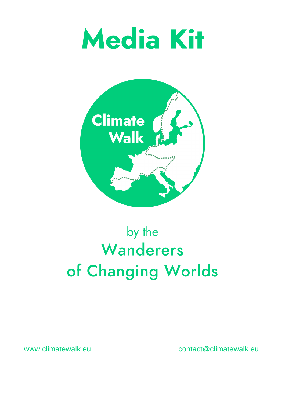



by the Wanderers of Changing Worlds

#### [www.climatewalk.eu](http://www.climatewalk.eu/) [contact@climatewalk.eu](mailto:contact@climatewalk.eu)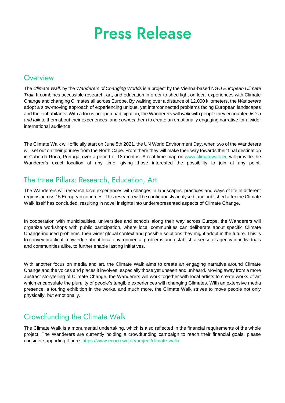## **Press Release**

#### Overview

The *Climate Walk* by the *Wanderers of Changing Worlds* is a project by the Vienna-based NGO *European Climate Trail*. It combines accessible research, art, and education in order to shed light on local experiences with Climate Change and changing Climates all across Europe. By walking over a distance of 12.000 kilometers, the *Wanderers*  adopt a slow-moving approach of experiencing unique, yet interconnected problems facing European landscapes and their inhabitants. With a focus on open participation, the Wanderers will *walk* with people they encounter, *listen and talk* to them about their experiences, and *connect* them to create an emotionally engaging narrative for a wider international audience.

The Climate Walk will officially start on June 5th 2021, the UN World Environment Day, when two of the Wanderers will set out on their journey from the North Cape. From there they will make their way towards their final destination in Cabo da Roca, Portugal over a period of 18 months. A real-time map on [www.climatewalk.eu](http://www.climatewalk.eu/) will provide the Wanderer's exact location at any time, giving those interested the possibility to join at any point.

## The three Pillars: Research, Education, Art

The Wanderers will research local experiences with changes in landscapes, practices and ways of life in different regions across 15 European countries. This research will be continuously analysed, and published after the Climate Walk itself has concluded, resulting in novel insights into underrepresented aspects of Climate Change.

In cooperation with municipalities, universities and schools along their way across Europe, the Wanderers will organize workshops with public participation, where local communities can deliberate about specific Climate Change-induced problems, their wider global context and possible solutions they might adopt in the future. This is to convey practical knowledge about local environmental problems and establish a sense of agency in individuals and communities alike, to further enable lasting initiatives.

With another focus on media and art, the Climate Walk aims to create an engaging narrative around Climate Change and the voices and places it involves, especially those yet unseen and unheard. Moving away from a more abstract storytelling of Climate Change, the Wanderers will work together with local artists to create works of art which encapsulate the plurality of people's tangible experiences with changing Climates. With an extensive media presence, a touring exhibition in the works, and much more, the Climate Walk strives to move people not only physically, but emotionally.

#### **Crowdfunding the Climate Walk**

The Climate Walk is a monumental undertaking, which is also reflected in the financial requirements of the whole project. The Wanderers are currently holding a crowdfunding campaign to reach their financial goals, please consider supporting it here:<https://www.ecocrowd.de/project/climate-walk/>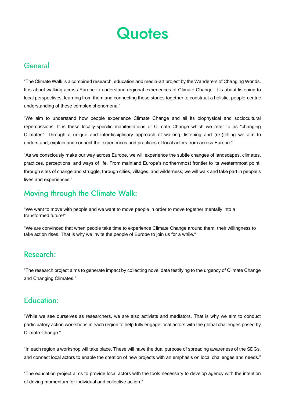

#### General

"The Climate Walk is a combined research, education and media-art project by the Wanderers of Changing Worlds. It is about walking across Europe to understand regional experiences of Climate Change. It is about listening to local perspectives, learning from them and connecting these stories together to construct a holistic, people-centric understanding of these complex phenomena."

"We aim to understand how people experience Climate Change and all its biophysical and sociocultural repercussions. It is these locally-specific manifestations of Climate Change which we refer to as "changing Climates". Through a unique and interdisciplinary approach of walking, listening and (re-)telling we aim to understand, explain and connect the experiences and practices of local actors from across Europe."

"While we see ourselves as researchers, we are also activists and mediators. That is why we aim to conduct participatory action workshops in each region to help fully engage local actors with the global challenges posed by Climate Change."

"As we consciously make our way across Europe, we will experience the subtle changes of landscapes, climates, practices, perceptions, and ways of life. From mainland Europe's northernmost frontier to its westernmost point, through sites of change and struggle, through cities, villages, and wilderness; we will walk and take part in people's lives and experiences."

## Moving through the Climate Walk:

"We want to move with people and we want to move people in order to move together mentally into a transformed future!"

"We are convinced that when people take time to experience Climate Change around them, their willingness to take action rises. That is why we invite the people of Europe to join us for a while."

#### **Research:**

"The research project aims to generate impact by collecting novel data testifying to the urgency of Climate Change and Changing Climates."

#### **Education:**

"In each region a workshop will take place. These will have the dual purpose of spreading awareness of the SDGs, and connect local actors to enable the creation of new projects with an emphasis on local challenges and needs."

"The education project aims to provide local actors with the tools necessary to develop agency with the intention of driving momentum for individual and collective action."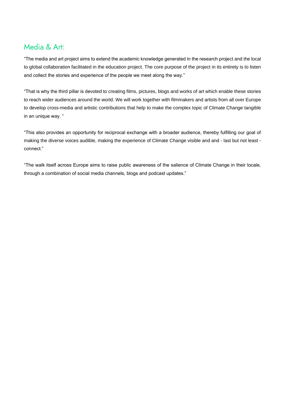### Media & Art:

"The media and art project aims to extend the academic knowledge generated in the research project and the local to global collaboration facilitated in the education project. The core purpose of the project in its entirety is to listen and collect the stories and experience of the people we meet along the way."

"That is why the third pillar is devoted to creating films, pictures, blogs and works of art which enable these stories to reach wider audiences around the world. We will work together with filmmakers and artists from all over Europe to develop cross-media and artistic contributions that help to make the complex topic of Climate Change tangible in an unique way. "

"This also provides an opportunity for reciprocal exchange with a broader audience, thereby fulfilling our goal of making the diverse voices audible, making the experience of Climate Change visible and and - last but not least connect."

"The walk itself across Europe aims to raise public awareness of the salience of Climate Change in their locale, through a combination of social media channels, blogs and podcast updates."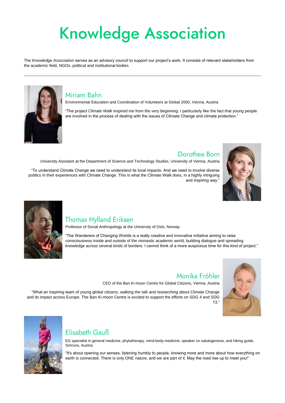# **Knowledge Association**

The *Knowledge Association* serves as an advisory council to support our project's work. It consists of relevant stakeholders from the academic field, NGOs, political and institutional bodies.



#### **Miriam Bahn**

Environmental Education and Coordination of Volunteers at Global 2000, Vienna, Austria

"The project *Climate Walk* inspired me from the very beginning. I particularly like the fact that young people are involved in the process of dealing with the issues of Climate Change and climate protection."

#### Dorothea Born

Monika Fröhler

University Assistant at the Department of Science and Technology Studies, University of Vienna, Austria

"To understand Climate Change we need to understand its local impacts. And we need to involve diverse publics in their experiences with Climate Change. This is what the Climate Walk does, in a highly intriguing and inspiring way."





### **Thomas Hylland Eriksen**

Professor of Social Anthropology at the University of Oslo, Norway

"The Wanderers of Changing Worlds is a really creative and innovative initiative aiming to raise consciousness inside and outside of the monastic academic world, building dialogue and spreading knowledge across several kinds of borders. I cannot think of a more auspicious time for this kind of project."



CEO of the Ban Ki-moon Centre for Global Citizens, Vienna, Austria

"What an inspiring team of young global citizens, walking the talk and researching about Climate Change and its impact across Europe. The Ban Ki-moon Centre is excited to support the efforts on SDG 4 and SDG 13."





#### Elisabeth Gauß

EG specialist in general medicine, phytotherapy, mind-body-medicine, speaker on salutogenesis, and hiking guide, Schruns, Austria

"It's about opening our senses, listening humbly to people, knowing more and more about how everything on earth is connected. There is only ONE nature, and we are part of it. May the road rise up to meet you!"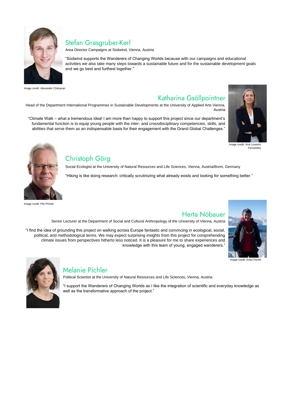

### Stefan Grasgruber-Kerl

Area Director Campaigns at Südwind, Vienna, Austria

"Südwind supports the Wanderers of Changing Worlds because with our campaigns and educational activities we also take many steps towards a sustainable future and for the sustainable development goals and we go best and furthest together."

Image credit: Alexander Chitsazan

### Katharina Gsöllpointner

Head of the Department International Programmes in Sustainable Developments at the University of Applied Arts Vienna, Austria

"Climate Walk – what a tremendous idea! I am more than happy to support this project since our department's fundamental function is to equip young people with the inter- and crossdisciplinary competencies, skills, and abilities that serve them as an indispensable basis for their engagement with the Grand Global Challenges."



Image credit: Ana Loureiro Fernandes

Social Ecologist at the University of Natural Resources and Life Sciences, Vienna, Austria/Bonn, Germany "Hiking is like doing research: critically scrutinizing what already exists and looking for something better."

Herta Nöbauer



Image credit: Pilo Pichler

## Christoph Görg

Senior Lecturer at the Department of Social and Cultural Anthropology of the University of Vienna, Austria

"I find the idea of grounding this project on walking across Europe fantastic and convincing in ecological, social, political, and methodological terms. We may expect surprising insights from this project for comprehending climate issues from perspectives hitherto less noticed. It is a pleasure for me to share experiences and knowledge with this team of young, engaged wanderers."



Image credit: Erika Pechtl



#### **Melanie Pichler**

Political Scientist at the University of Natural Resources and Life Sciences, Vienna, Austria

"I support the Wanderers of Changing Worlds as I like the integration of scientific and everyday knowledge as well as the transformative approach of the project."

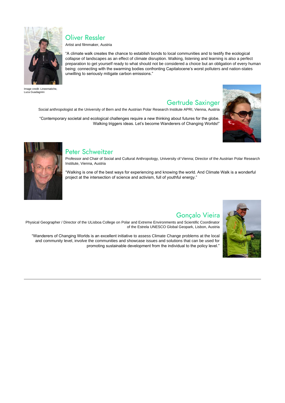Artist and filmmaker, Austria

"A climate walk creates the chance to establish bonds to local communities and to testify the ecological collapse of landscapes as an effect of climate disruption. Walking, listening and learning is also a perfect preparation to get yourself ready to what should not be considered a choice but an obligation of every human being: connecting with the swarming bodies confronting Capitalocene's worst polluters and nation-states unwilling to seriously mitigate carbon emissions."

**Gertrude Saxinger** 



Image credit: Lineematiche, Luca Guadagnini

## **Oliver Ressler**

Social anthropologist at the University of Bern and the Austrian Polar Research Institute APRI, Vienna, Austria

"Contemporary societal and ecological challenges require a new thinking about futures for the globe. Walking triggers ideas. Let's become Wanderers of Changing Worlds!"





#### Peter Schweitzer

Professor and Chair of Social and Cultural Anthropology, University of Vienna; Director of the Austrian Polar Research Institute, Vienna, Austria

"Walking is one of the best ways for experiencing and knowing the world. And Climate Walk is a wonderful project at the intersection of science and activism, full of youthful energy."



## Gonçalo Vieira

Physical Geographer / Director of the ULisboa College on Polar and Extreme Environments and Scientific Coordinator of the Estrela UNESCO Global Geopark, Lisbon, Austria

"Wanderers of Changing Worlds is an excellent initiative to assess Climate Change problems at the local and community level, involve the communities and showcase issues and solutions that can be used for promoting sustainable development from the individual to the policy level."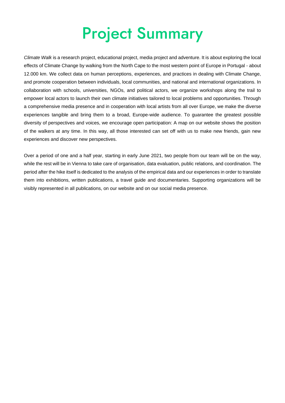## **Project Summary**

*Climate Walk* is a research project, educational project, media project and adventure. It is about exploring the local effects of Climate Change by walking from the North Cape to the most western point of Europe in Portugal - about 12.000 km. We collect data on human perceptions, experiences, and practices in dealing with Climate Change, and promote cooperation between individuals, local communities, and national and international organizations. In collaboration with schools, universities, NGOs, and political actors, we organize workshops along the trail to empower local actors to launch their own climate initiatives tailored to local problems and opportunities. Through a comprehensive media presence and in cooperation with local artists from all over Europe, we make the diverse experiences tangible and bring them to a broad, Europe-wide audience. To guarantee the greatest possible diversity of perspectives and voices, we encourage open participation: A map on our website shows the position of the walkers at any time. In this way, all those interested can set off with us to make new friends, gain new experiences and discover new perspectives.

Over a period of one and a half year, starting in early June 2021, two people from our team will be on the way, while the rest will be in Vienna to take care of organisation, data evaluation, public relations, and coordination. The period after the hike itself is dedicated to the analysis of the empirical data and our experiences in order to translate them into exhibitions, written publications, a travel guide and documentaries. Supporting organizations will be visibly represented in all publications, on our website and on our social media presence.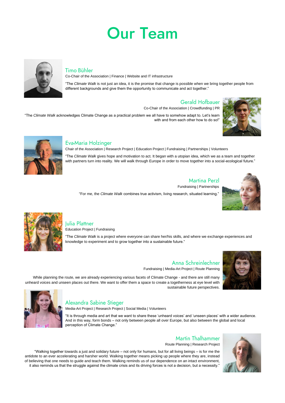## **Our Team**



#### **Timo Bühler**

Co-Chair of the Association | Finance | Website and IT infrastructure

"The *Climate Walk* acknowledges Climate Change as a practical problem we all have to somehow adapt to. Let's learn with and from each other how to do so!'





#### Eva-Maria Holzinger

"The *Climate Walk* is not just an idea, it is the promise that change is possible when we bring together people from different backgrounds and give them the opportunity to communicate and act together."

#### **Gerald Hofbauer**

"The *Climate Walk* gives hope and motivation to act. It began with a utopian idea, which we as a team and together with partners turn into reality. We will walk through Europe in order to move together into a social-ecological future."

#### **Martina Perzl**

Co-Chair of the Association | Crowdfunding | PR

Chair of the Association | Research Project | Education Project | Fundraising | Partnerships | Volunteers

#### Alexandra Sabine Stieger Media-Art Project | Research Project | Social Media | Volunteers

Fundraising | Partnerships

"For me, the *Climate Walk* combines true activism, living research, situated learning."





#### Iulia Plattner

"Walking together towards a just and solidary future – not only for humans, but for all living beings – is for me the antidote to an ever accelerating and harsher world. Walking together means picking up people where they are, instead of believing that one needs to guide and teach them. Walking reminds us of our dependence on an intact environment, it also reminds us that the struggle against the climate crisis and its driving forces is not a decision, but a necessity.'



Education Project | Fundraising

"The *Climate Walk* is a project where everyone can share her/his skills, and where we exchange experiences and knowledge to experiment and to grow together into a sustainable future."

Anna Schreinlechner

Fundraising | Media-Art Project | Route Planning

While planning the route, we are already experiencing various facets of Climate Change - and there are still many unheard voices and unseen places out there. We want to offer them a space to create a togetherness at eye level with

sustainable future perspectives.



"It is through media and art that we want to share these 'unheard voices' and 'unseen places' with a wider audience. And in this way, form bonds – not only between people all over Europe, but also between the global and local perception of Climate Change."

#### **Martin Thalhammer**

Route Planning | Research Project